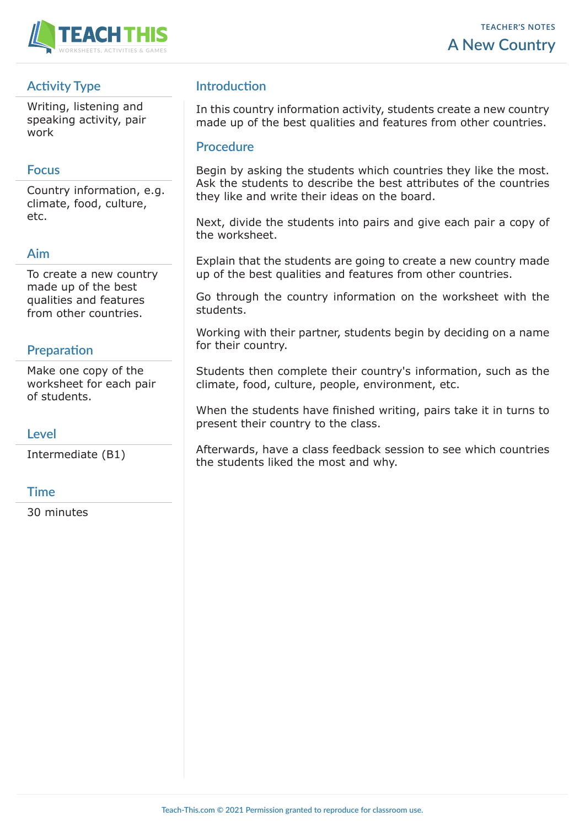

# **Activity Type**

Writing, listening and speaking activity, pair work

## **Focus**

Country information, e.g. climate, food, culture, etc.

### **Aim**

To create a new country made up of the best qualities and features from other countries.

## **Preparation**

Make one copy of the worksheet for each pair of students.

#### **Level**

Intermediate (B1)

#### **Time**

30 minutes

## **Introduction**

In this country information activity, students create a new country made up of the best qualities and features from other countries.

#### **Procedure**

Begin by asking the students which countries they like the most. Ask the students to describe the best attributes of the countries they like and write their ideas on the board.

Next, divide the students into pairs and give each pair a copy of the worksheet.

Explain that the students are going to create a new country made up of the best qualities and features from other countries.

Go through the country information on the worksheet with the students.

Working with their partner, students begin by deciding on a name for their country.

Students then complete their country's information, such as the climate, food, culture, people, environment, etc.

When the students have finished writing, pairs take it in turns to present their country to the class.

Afterwards, have a class feedback session to see which countries the students liked the most and why.